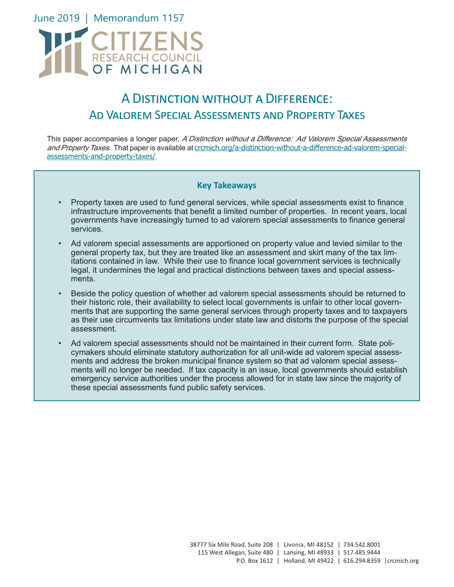

## A Distinction without a Difference: Ad Valorem Special Assessments and Property Taxes

This paper accompanies a longer paper, A Distinction without a Difference: Ad Valorem Special Assessments and Property Taxes. That paper is available at crcmich.org/a-distinction-without-a-difference-ad-valorem-specialassessments-and-property-taxes/.

#### **Key Takeaways**

- Property taxes are used to fund general services, while special assessments exist to finance infrastructure improvements that benefit a limited number of properties. In recent years, local governments have increasingly turned to ad valorem special assessments to finance general services.
- Ad valorem special assessments are apportioned on property value and levied similar to the general property tax, but they are treated like an assessment and skirt many of the tax limitations contained in law. While their use to finance local government services is technically legal, it undermines the legal and practical distinctions between taxes and special assessments.
- Beside the policy question of whether ad valorem special assessments should be returned to their historic role, their availability to select local governments is unfair to other local governments that are supporting the same general services through property taxes and to taxpayers as their use circumvents tax limitations under state law and distorts the purpose of the special assessment.
- Ad valorem special assessments should not be maintained in their current form. State policymakers should eliminate statutory authorization for all unit-wide ad valorem special assessments and address the broken municipal finance system so that ad valorem special assessments will no longer be needed. If tax capacity is an issue, local governments should establish emergency service authorities under the process allowed for in state law since the majority of these special assessments fund public safety services.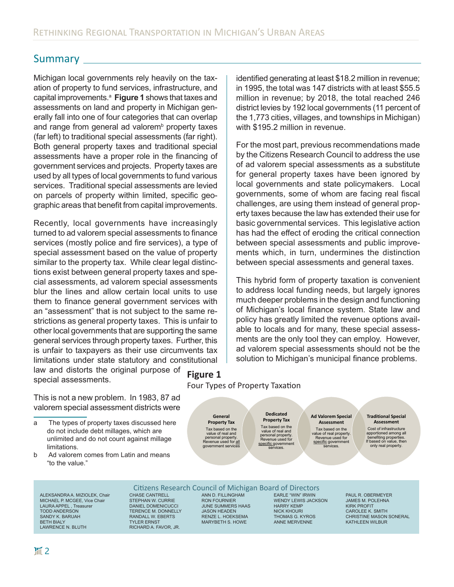### Summary

Michigan local governments rely heavily on the taxation of property to fund services, infrastructure, and capital improvements.<sup>a</sup> Figure 1 shows that taxes and assessments on land and property in Michigan generally fall into one of four categories that can overlap and range from general ad valorem<sup>b</sup> property taxes (far left) to traditional special assessments (far right). Both general property taxes and traditional special assessments have a proper role in the financing of government services and projects. Property taxes are used by all types of local governments to fund various services. Traditional special assessments are levied on parcels of property within limited, specific geographic areas that benefit from capital improvements.

Recently, local governments have increasingly turned to ad valorem special assessments to finance services (mostly police and fire services), a type of special assessment based on the value of property similar to the property tax. While clear legal distinctions exist between general property taxes and special assessments, ad valorem special assessments blur the lines and allow certain local units to use them to finance general government services with an "assessment" that is not subject to the same restrictions as general property taxes. This is unfair to other local governments that are supporting the same general services through property taxes. Further, this is unfair to taxpayers as their use circumvents tax limitations under state statutory and constitutional law and distorts the original purpose of special assessments. **Figure 1** identified generating at least \$18.2 million in revenue; in 1995, the total was 147 districts with at least \$55.5 million in revenue; by 2018, the total reached 246 district levies by 192 local governments (11 percent of the 1,773 cities, villages, and townships in Michigan) with \$195.2 million in revenue.

For the most part, previous recommendations made by the Citizens Research Council to address the use of ad valorem special assessments as a substitute for general property taxes have been ignored by local governments and state policymakers. Local governments, some of whom are facing real fiscal challenges, are using them instead of general property taxes because the law has extended their use for basic governmental services. This legislative action has had the effect of eroding the critical connection between special assessments and public improvements which, in turn, undermines the distinction between special assessments and general taxes.

This hybrid form of property taxation is convenient to address local funding needs, but largely ignores much deeper problems in the design and functioning of Michigan's local finance system. State law and policy has greatly limited the revenue options available to locals and for many, these special assessments are the only tool they can employ. However, ad valorem special assessments should not be the solution to Michigan's municipal finance problems.

This is not a new problem. In 1983, 87 ad valorem special assessment districts were

- a The types of property taxes discussed here do not include debt millages, which are unlimited and do not count against millage limitations.
- b Ad valorem comes from Latin and means "to the value."

ALEKSANDRA A. MIZIOLEK, Chair MICHAEL P. MCGEE, Vice Chair LAURA APPEL , Treasurer TODD ANDERSON SANDY K. BARUAH BETH BIALY LAWRENCE N. BLUTH

#### Four Types of Property Taxation

**General Property Tax** Tax based on the<br>value of real and value of real and<br>personal property.<br>Revenue used for <u>all</u> government service

#### **Dedicated Property Tax** Tax based on the value of real and

personal property. Revenue used for specific government<br>services.

#### **Ad Valorem Special Assessment**

Tax based on the value of real property. Revenue used for specific government services.

#### **Traditional Special Assessment**

Cost of infrastructure apportioned among all benefiting properties. If based on value, then only real property.

#### Citizens Research Council of Michigan Board of Directors

CHASE CANTRELL STEPHAN W. CURRIE DANIEL DOMENICUCCI TERENCE M. DONNELLY RANDALL W. EBERTS TYLER ERNST RICHARD A. FAVOR, JR.

ANN D. FILLINGHAM RON FOURNIER JUNE SUMMERS HAAS JASON HEADEN RENZE L. HOEKSEMA MARYBETH S. HOWE

EARLE "WIN" IRWIN WENDY LEWIS JACKSON HARRY KEMP NICK KHOURI THOMAS G. KYROS ANNE MERVENNE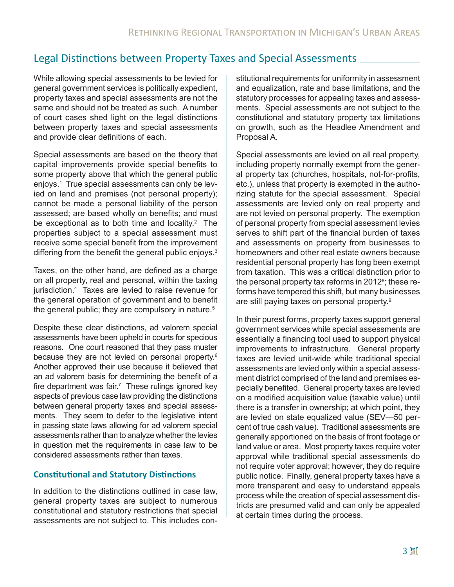## Legal Distinctions between Property Taxes and Special Assessments

While allowing special assessments to be levied for general government services is politically expedient, property taxes and special assessments are not the same and should not be treated as such. A number of court cases shed light on the legal distinctions between property taxes and special assessments and provide clear definitions of each.

Special assessments are based on the theory that capital improvements provide special benefits to some property above that which the general public enjoys.1 True special assessments can only be levied on land and premises (not personal property); cannot be made a personal liability of the person assessed; are based wholly on benefits; and must be exceptional as to both time and locality. $2$  The properties subject to a special assessment must receive some special benefit from the improvement differing from the benefit the general public enjoys.<sup>3</sup>

Taxes, on the other hand, are defined as a charge on all property, real and personal, within the taxing jurisdiction.4 Taxes are levied to raise revenue for the general operation of government and to benefit the general public; they are compulsory in nature.<sup>5</sup>

Despite these clear distinctions, ad valorem special assessments have been upheld in courts for specious reasons. One court reasoned that they pass muster because they are not levied on personal property.<sup>6</sup> Another approved their use because it believed that an ad valorem basis for determining the benefit of a fire department was fair.<sup>7</sup> These rulings ignored key aspects of previous case law providing the distinctions between general property taxes and special assessments. They seem to defer to the legislative intent in passing state laws allowing for ad valorem special assessments rather than to analyze whether the levies in question met the requirements in case law to be considered assessments rather than taxes.

#### **Constitutional and Statutory Distinctions**

In addition to the distinctions outlined in case law, general property taxes are subject to numerous constitutional and statutory restrictions that special assessments are not subject to. This includes con-

stitutional requirements for uniformity in assessment and equalization, rate and base limitations, and the statutory processes for appealing taxes and assessments. Special assessments are not subject to the constitutional and statutory property tax limitations on growth, such as the Headlee Amendment and Proposal A.

Special assessments are levied on all real property, including property normally exempt from the general property tax (churches, hospitals, not-for-profits, etc.), unless that property is exempted in the authorizing statute for the special assessment. Special assessments are levied only on real property and are not levied on personal property. The exemption of personal property from special assessment levies serves to shift part of the financial burden of taxes and assessments on property from businesses to homeowners and other real estate owners because residential personal property has long been exempt from taxation. This was a critical distinction prior to the personal property tax reforms in 2012<sup>8</sup>; these reforms have tempered this shift, but many businesses are still paying taxes on personal property.9

In their purest forms, property taxes support general government services while special assessments are essentially a financing tool used to support physical improvements to infrastructure. General property taxes are levied unit-wide while traditional special assessments are levied only within a special assessment district comprised of the land and premises especially benefited. General property taxes are levied on a modified acquisition value (taxable value) until there is a transfer in ownership; at which point, they are levied on state equalized value (SEV—50 percent of true cash value). Traditional assessments are generally apportioned on the basis of front footage or land value or area. Most property taxes require voter approval while traditional special assessments do not require voter approval; however, they do require public notice. Finally, general property taxes have a more transparent and easy to understand appeals process while the creation of special assessment districts are presumed valid and can only be appealed at certain times during the process.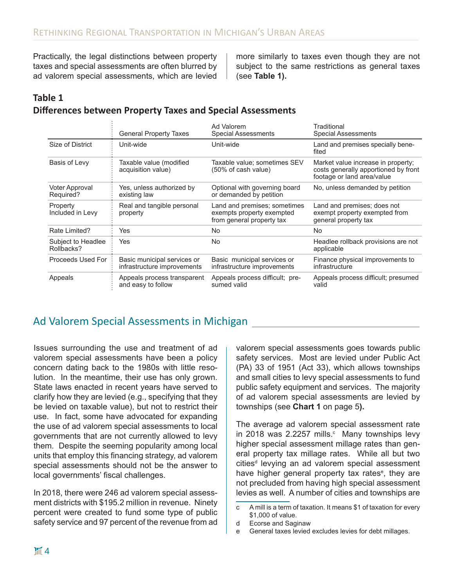Practically, the legal distinctions between property taxes and special assessments are often blurred by ad valorem special assessments, which are levied

more similarly to taxes even though they are not subject to the same restrictions as general taxes (see **Table 1).** 

#### **Table 1 Differences between Property Taxes and Special Assessments**

|                                  | <b>General Property Taxes</b>                              | Ad Valorem<br>Special Assessments                                                      | Traditional<br><b>Special Assessments</b>                                                                |
|----------------------------------|------------------------------------------------------------|----------------------------------------------------------------------------------------|----------------------------------------------------------------------------------------------------------|
| Size of District                 | Unit-wide                                                  | Unit-wide                                                                              | Land and premises specially bene-<br>fited                                                               |
| Basis of Levy                    | Taxable value (modified<br>acquisition value)              | Taxable value; sometimes SEV<br>(50% of cash value)                                    | Market value increase in property;<br>costs generally apportioned by front<br>footage or land area/value |
| Voter Approval<br>Required?      | Yes, unless authorized by<br>existing law                  | Optional with governing board<br>or demanded by petition                               | No, unless demanded by petition                                                                          |
| Property<br>Included in Levy     | Real and tangible personal<br>property                     | Land and premises; sometimes<br>exempts property exempted<br>from general property tax | Land and premises; does not<br>exempt property exempted from<br>general property tax                     |
| Rate Limited?                    | Yes                                                        | No                                                                                     | No.                                                                                                      |
| Subject to Headlee<br>Rollbacks? | Yes                                                        | No                                                                                     | Headlee rollback provisions are not<br>applicable                                                        |
| Proceeds Used For                | Basic municipal services or<br>infrastructure improvements | Basic municipal services or<br>infrastructure improvements                             | Finance physical improvements to<br>infrastructure                                                       |
| Appeals                          | Appeals process transparent<br>and easy to follow          | Appeals process difficult; pre-<br>sumed valid                                         | Appeals process difficult; presumed<br>valid                                                             |

## Ad Valorem Special Assessments in Michigan

Issues surrounding the use and treatment of ad valorem special assessments have been a policy concern dating back to the 1980s with little resolution. In the meantime, their use has only grown. State laws enacted in recent years have served to clarify how they are levied (e.g., specifying that they be levied on taxable value), but not to restrict their use. In fact, some have advocated for expanding the use of ad valorem special assessments to local governments that are not currently allowed to levy them. Despite the seeming popularity among local units that employ this financing strategy, ad valorem special assessments should not be the answer to local governments' fiscal challenges.

In 2018, there were 246 ad valorem special assessment districts with \$195.2 million in revenue. Ninety percent were created to fund some type of public safety service and 97 percent of the revenue from ad

valorem special assessments goes towards public safety services. Most are levied under Public Act (PA) 33 of 1951 (Act 33), which allows townships and small cities to levy special assessments to fund public safety equipment and services. The majority of ad valorem special assessments are levied by townships (see **Chart 1** on page 5**).** 

The average ad valorem special assessment rate in 2018 was 2.2257 mills. $\textdegree$  Many townships levy higher special assessment millage rates than general property tax millage rates. While all but two cities<sup>d</sup> levying an ad valorem special assessment have higher general property tax rates<sup>e</sup>, they are not precluded from having high special assessment levies as well. A number of cities and townships are

c A mill is a term of taxation. It means \$1 of taxation for every \$1,000 of value.

d Ecorse and Saginaw

e General taxes levied excludes levies for debt millages.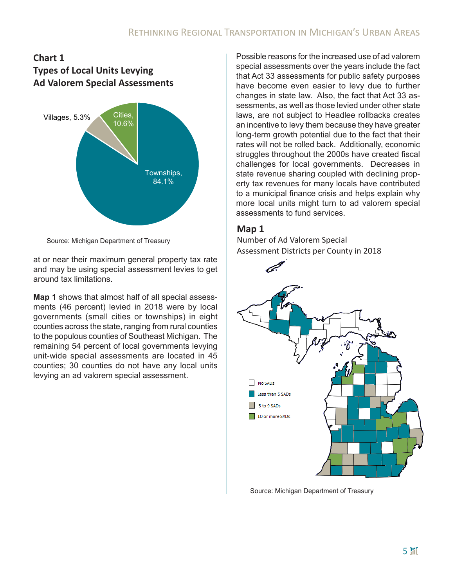### **Chart 1 Types of Local Units Levying Ad Valorem Special Assessments**



Source: Michigan Department of Treasury

at or near their maximum general property tax rate and may be using special assessment levies to get around tax limitations.

**Map 1** shows that almost half of all special assessments (46 percent) levied in 2018 were by local governments (small cities or townships) in eight counties across the state, ranging from rural counties to the populous counties of Southeast Michigan. The remaining 54 percent of local governments levying unit-wide special assessments are located in 45 counties; 30 counties do not have any local units levying an ad valorem special assessment.

Possible reasons for the increased use of ad valorem special assessments over the years include the fact that Act 33 assessments for public safety purposes have become even easier to levy due to further changes in state law. Also, the fact that Act 33 assessments, as well as those levied under other state laws, are not subject to Headlee rollbacks creates an incentive to levy them because they have greater long-term growth potential due to the fact that their rates will not be rolled back. Additionally, economic struggles throughout the 2000s have created fiscal challenges for local governments. Decreases in state revenue sharing coupled with declining property tax revenues for many locals have contributed to a municipal finance crisis and helps explain why more local units might turn to ad valorem special assessments to fund services.

### **Map 1**

Number of Ad Valorem Special Assessment Districts per County in 2018



Source: Michigan Department of Treasury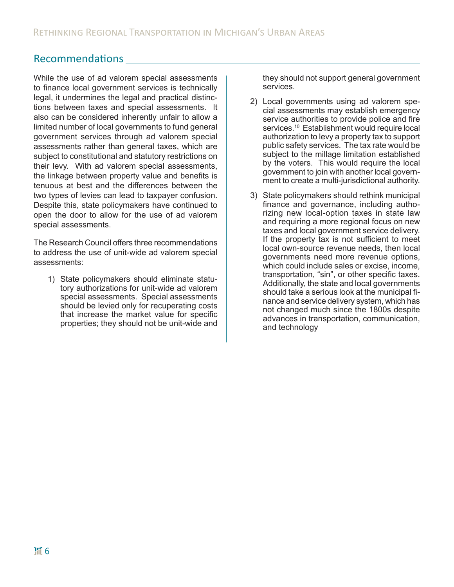## Recommendations

While the use of ad valorem special assessments to finance local government services is technically legal, it undermines the legal and practical distinctions between taxes and special assessments. It also can be considered inherently unfair to allow a limited number of local governments to fund general government services through ad valorem special assessments rather than general taxes, which are subject to constitutional and statutory restrictions on their levy. With ad valorem special assessments, the linkage between property value and benefits is tenuous at best and the differences between the two types of levies can lead to taxpayer confusion. Despite this, state policymakers have continued to open the door to allow for the use of ad valorem special assessments.

The Research Council offers three recommendations to address the use of unit-wide ad valorem special assessments:

1) State policymakers should eliminate statutory authorizations for unit-wide ad valorem special assessments. Special assessments should be levied only for recuperating costs that increase the market value for specific properties; they should not be unit-wide and

they should not support general government services.

- 2) Local governments using ad valorem special assessments may establish emergency service authorities to provide police and fire services.<sup>10</sup> Establishment would require local authorization to levy a property tax to support public safety services. The tax rate would be subject to the millage limitation established by the voters. This would require the local government to join with another local government to create a multi-jurisdictional authority.
- 3) State policymakers should rethink municipal finance and governance, including authorizing new local-option taxes in state law and requiring a more regional focus on new taxes and local government service delivery. If the property tax is not sufficient to meet local own-source revenue needs, then local governments need more revenue options, which could include sales or excise, income, transportation, "sin", or other specific taxes. Additionally, the state and local governments should take a serious look at the municipal finance and service delivery system, which has not changed much since the 1800s despite advances in transportation, communication, and technology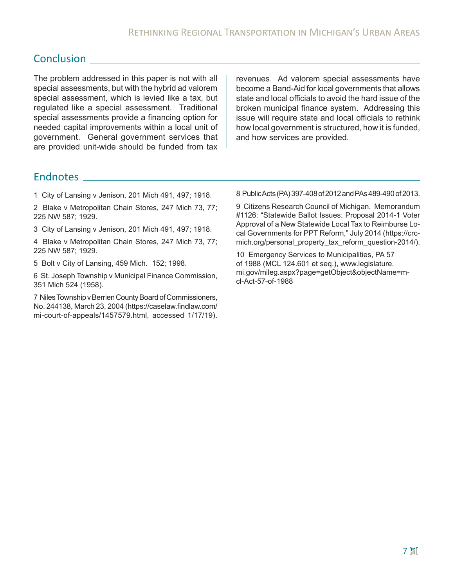## **Conclusion**

The problem addressed in this paper is not with all special assessments, but with the hybrid ad valorem special assessment, which is levied like a tax, but regulated like a special assessment. Traditional special assessments provide a financing option for needed capital improvements within a local unit of government. General government services that are provided unit-wide should be funded from tax

revenues. Ad valorem special assessments have become a Band-Aid for local governments that allows state and local officials to avoid the hard issue of the broken municipal finance system. Addressing this issue will require state and local officials to rethink how local government is structured, how it is funded, and how services are provided.

## **Endnotes**

1 City of Lansing v Jenison, 201 Mich 491, 497; 1918.

2 Blake v Metropolitan Chain Stores, 247 Mich 73, 77; 225 NW 587; 1929.

3 City of Lansing v Jenison, 201 Mich 491, 497; 1918.

4 Blake v Metropolitan Chain Stores, 247 Mich 73, 77; 225 NW 587; 1929.

5 Bolt v City of Lansing, 459 Mich. 152; 1998.

6 St. Joseph Township v Municipal Finance Commission, 351 Mich 524 (1958).

7 Niles Township v Berrien County Board of Commissioners, No. 244138, March 23, 2004 (https://caselaw.findlaw.com/ mi-court-of-appeals/1457579.html, accessed 1/17/19). 8 Public Acts (PA) 397-408 of 2012 and PAs 489-490 of 2013.

9 Citizens Research Council of Michigan. Memorandum #1126: "Statewide Ballot Issues: Proposal 2014-1 Voter Approval of a New Statewide Local Tax to Reimburse Local Governments for PPT Reform," July 2014 (https://crcmich.org/personal\_property\_tax\_reform\_question-2014/).

10 Emergency Services to Municipalities, PA 57 of 1988 (MCL 124.601 et seq.), www.legislature. mi.gov/mileg.aspx?page=getObject&objectName=mcl-Act-57-of-1988